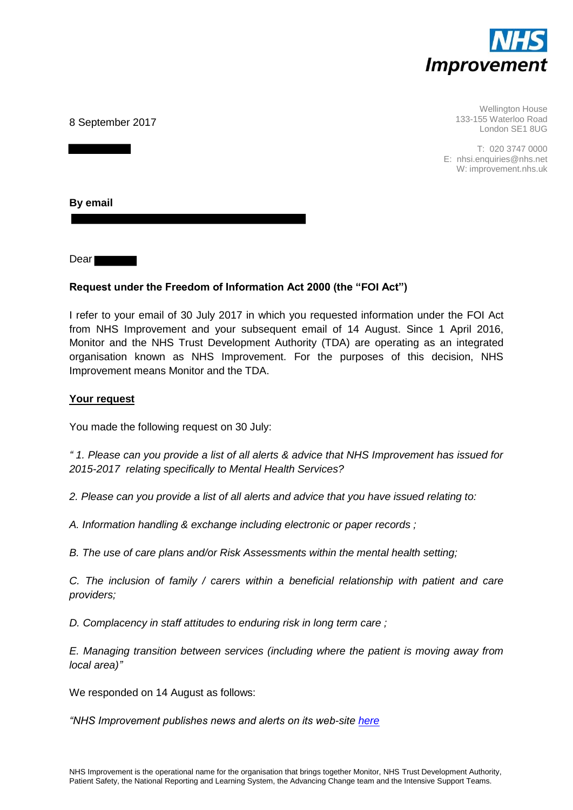

8 September 2017

Wellington House 133-155 Waterloo Road London SE1 8UG

T: 020 3747 0000 E: nhsi.enquiries@nhs.net W: improvement.nhs.uk

**By email** 

Dear

# **Request under the Freedom of Information Act 2000 (the "FOI Act")**

I refer to your email of 30 July 2017 in which you requested information under the FOI Act from NHS Improvement and your subsequent email of 14 August. Since 1 April 2016, Monitor and the NHS Trust Development Authority (TDA) are operating as an integrated organisation known as NHS Improvement. For the purposes of this decision, NHS Improvement means Monitor and the TDA.

#### **Your request**

You made the following request on 30 July:

*" 1. Please can you provide a list of all alerts & advice that NHS Improvement has issued for 2015-2017 relating specifically to Mental Health Services?* 

*2. Please can you provide a list of all alerts and advice that you have issued relating to:* 

*A. Information handling & exchange including electronic or paper records ;* 

*B. The use of care plans and/or Risk Assessments within the mental health setting;* 

*C. The inclusion of family / carers within a beneficial relationship with patient and care providers;* 

*D. Complacency in staff attitudes to enduring risk in long term care ;* 

*E. Managing transition between services (including where the patient is moving away from local area)"*

We responded on 14 August as follows:

*"NHS Improvement publishes news and alerts on its web-site [here](https://improvement.nhs.uk/news-alerts/)*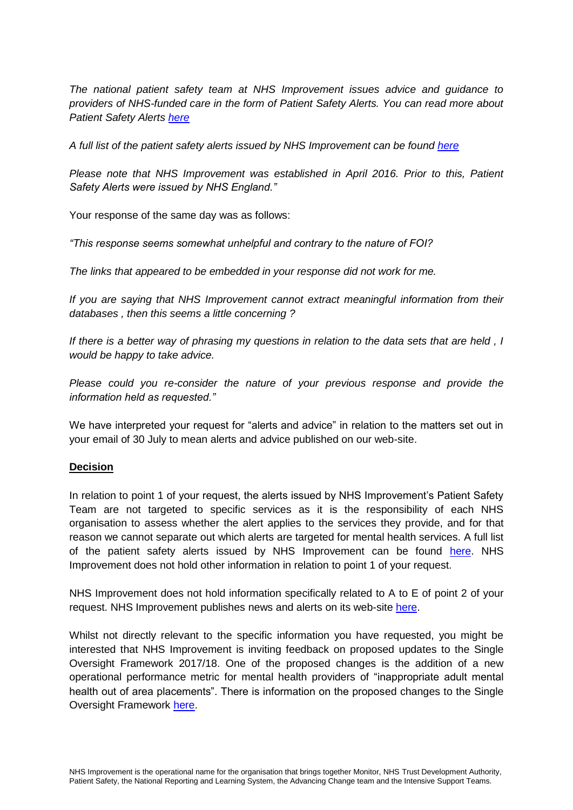*The national patient safety team at NHS Improvement issues advice and guidance to providers of NHS-funded care in the form of Patient Safety Alerts. You can read more about Patient Safety Alerts [here](https://improvement.nhs.uk/resources/patient-safety-alerts/)*

*A full list of the patient safety alerts issued by NHS Improvement can be found [here](https://improvement.nhs.uk/news-alerts/?keywords=&articletype=patient-safety-alert&after=&before)*

*Please note that NHS Improvement was established in April 2016. Prior to this, Patient Safety Alerts were issued by NHS England."*

Your response of the same day was as follows:

*"This response seems somewhat unhelpful and contrary to the nature of FOI?*

*The links that appeared to be embedded in your response did not work for me.*

*If you are saying that NHS Improvement cannot extract meaningful information from their databases , then this seems a little concerning ?*

*If there is a better way of phrasing my questions in relation to the data sets that are held , I would be happy to take advice.*

*Please could you re-consider the nature of your previous response and provide the information held as requested."*

We have interpreted your request for "alerts and advice" in relation to the matters set out in your email of 30 July to mean alerts and advice published on our web-site.

#### **Decision**

In relation to point 1 of your request, the alerts issued by NHS Improvement's Patient Safety Team are not targeted to specific services as it is the responsibility of each NHS organisation to assess whether the alert applies to the services they provide, and for that reason we cannot separate out which alerts are targeted for mental health services. A full list of the patient safety alerts issued by NHS Improvement can be found [here.](https://improvement.nhs.uk/news-alerts/?keywords=&articletype=patient-safety-alert&after=&before) NHS Improvement does not hold other information in relation to point 1 of your request.

NHS Improvement does not hold information specifically related to A to E of point 2 of your request. NHS Improvement publishes news and alerts on its web-site [here.](https://improvement.nhs.uk/news-alerts/)

Whilst not directly relevant to the specific information you have requested, you might be interested that NHS Improvement is inviting feedback on proposed updates to the Single Oversight Framework 2017/18. One of the proposed changes is the addition of a new operational performance metric for mental health providers of "inappropriate adult mental health out of area placements". There is information on the proposed changes to the Single Oversight Framework [here.](https://improvement.nhs.uk/resources/updating-single-oversight-framework-share-your-views/)